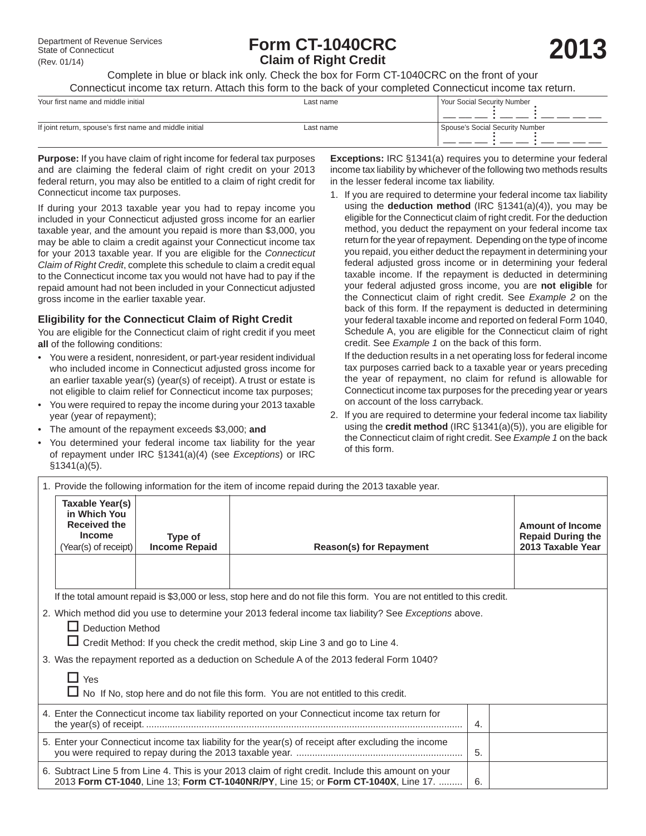# Pepartment of Revenue Services **Form CT-1040CRC**<br>
State of Connecticut<br>
(Rev. 01/14) **2013 Claim of Right Credit**

Complete in blue or black ink only. Check the box for Form CT-1040CRC on the front of your Connecticut income tax return. Attach this form to the back of your completed Connecticut income tax return.

| Your first name and middle initial                      | Last name | Your Social Security Number     |
|---------------------------------------------------------|-----------|---------------------------------|
| If joint return, spouse's first name and middle initial | Last name | Spouse's Social Security Number |

**Purpose:** If you have claim of right income for federal tax purposes and are claiming the federal claim of right credit on your 2013 federal return, you may also be entitled to a claim of right credit for Connecticut income tax purposes.

If during your 2013 taxable year you had to repay income you included in your Connecticut adjusted gross income for an earlier taxable year, and the amount you repaid is more than \$3,000, you may be able to claim a credit against your Connecticut income tax for your 2013 taxable year. If you are eligible for the *Connecticut Claim of Right Credit*, complete this schedule to claim a credit equal to the Connecticut income tax you would not have had to pay if the repaid amount had not been included in your Connecticut adjusted gross income in the earlier taxable year.

# **Eligibility for the Connecticut Claim of Right Credit**

You are eligible for the Connecticut claim of right credit if you meet **all** of the following conditions:

- You were a resident, nonresident, or part-year resident individual who included income in Connecticut adjusted gross income for an earlier taxable year(s) (year(s) of receipt). A trust or estate is not eligible to claim relief for Connecticut income tax purposes;
- You were required to repay the income during your 2013 taxable year (year of repayment);
- The amount of the repayment exceeds \$3,000; **and**
- You determined your federal income tax liability for the year of repayment under IRC §1341(a)(4) (see *Exceptions*) or IRC §1341(a)(5).

**Exceptions:** IRC §1341(a) requires you to determine your federal income tax liability by whichever of the following two methods results in the lesser federal income tax liability.

1. If you are required to determine your federal income tax liability using the **deduction method** (IRC §1341(a)(4)), you may be eligible for the Connecticut claim of right credit. For the deduction method, you deduct the repayment on your federal income tax return for the year of repayment. Depending on the type of income you repaid, you either deduct the repayment in determining your federal adjusted gross income or in determining your federal taxable income. If the repayment is deducted in determining your federal adjusted gross income, you are **not eligible** for the Connecticut claim of right credit. See *Example 2* on the back of this form. If the repayment is deducted in determining your federal taxable income and reported on federal Form 1040, Schedule A, you are eligible for the Connecticut claim of right credit. See *Example 1* on the back of this form.

 If the deduction results in a net operating loss for federal income tax purposes carried back to a taxable year or years preceding the year of repayment, no claim for refund is allowable for Connecticut income tax purposes for the preceding year or years on account of the loss carryback.

2. If you are required to determine your federal income tax liability using the **credit method** (IRC §1341(a)(5)), you are eligible for the Connecticut claim of right credit. See *Example 1* on the back of this form.

| 1. Provide the following information for the item of income repaid during the 2013 taxable year.                                                                                                                                                                                                                 |                                 |                                                                                                                                                                                            |    |                                                                          |  |
|------------------------------------------------------------------------------------------------------------------------------------------------------------------------------------------------------------------------------------------------------------------------------------------------------------------|---------------------------------|--------------------------------------------------------------------------------------------------------------------------------------------------------------------------------------------|----|--------------------------------------------------------------------------|--|
| Taxable Year(s)<br>in Which You<br><b>Received the</b><br>Income<br>(Year(s) of receipt)                                                                                                                                                                                                                         | Type of<br><b>Income Repaid</b> | <b>Reason(s) for Repayment</b>                                                                                                                                                             |    | <b>Amount of Income</b><br><b>Repaid During the</b><br>2013 Taxable Year |  |
|                                                                                                                                                                                                                                                                                                                  |                                 |                                                                                                                                                                                            |    |                                                                          |  |
| If the total amount repaid is \$3,000 or less, stop here and do not file this form. You are not entitled to this credit.                                                                                                                                                                                         |                                 |                                                                                                                                                                                            |    |                                                                          |  |
| 2. Which method did you use to determine your 2013 federal income tax liability? See Exceptions above.<br>$\Box$ Deduction Method<br>□ Credit Method: If you check the credit method, skip Line 3 and go to Line 4.<br>3. Was the repayment reported as a deduction on Schedule A of the 2013 federal Form 1040? |                                 |                                                                                                                                                                                            |    |                                                                          |  |
| $\Box$ Yes<br>□ No If No, stop here and do not file this form. You are not entitled to this credit.                                                                                                                                                                                                              |                                 |                                                                                                                                                                                            |    |                                                                          |  |
| 4. Enter the Connecticut income tax liability reported on your Connecticut income tax return for<br>$\overline{4}$ .                                                                                                                                                                                             |                                 |                                                                                                                                                                                            |    |                                                                          |  |
|                                                                                                                                                                                                                                                                                                                  |                                 | 5. Enter your Connecticut income tax liability for the year(s) of receipt after excluding the income                                                                                       | 5. |                                                                          |  |
|                                                                                                                                                                                                                                                                                                                  |                                 | 6. Subtract Line 5 from Line 4. This is your 2013 claim of right credit. Include this amount on your<br>2013 Form CT-1040, Line 13; Form CT-1040NR/PY, Line 15; or Form CT-1040X, Line 17. | 6. |                                                                          |  |